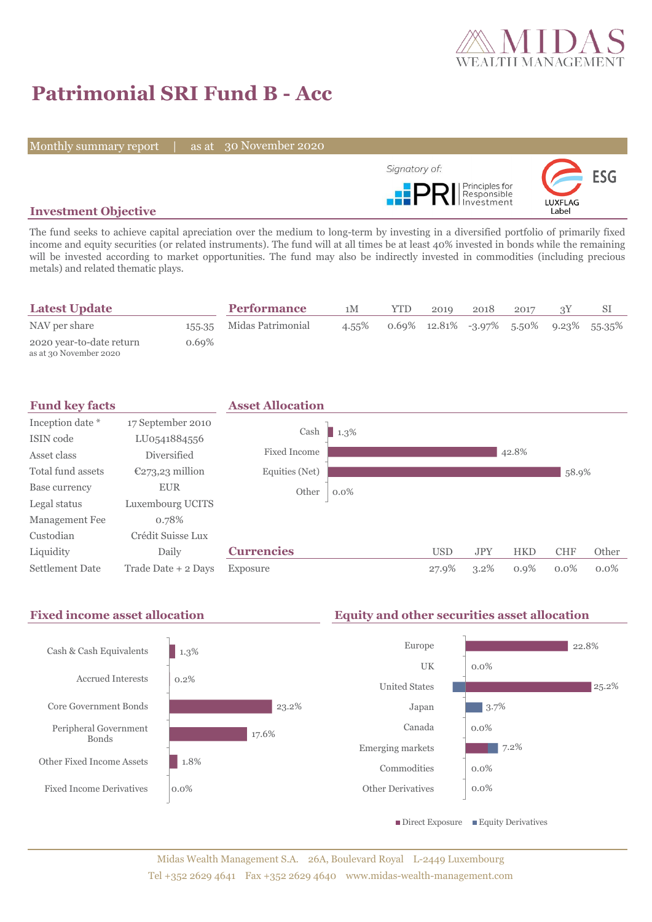

# **Patrimonial SRI Fund B - Acc**

Monthly summary report | as at 30 November 2020



## **Investment Objective**

The fund seeks to achieve capital apreciation over the medium to long-term by investing in a diversified portfolio of primarily fixed income and equity securities (or related instruments). The fund will at all times be at least 40% invested in bonds while the remaining will be invested according to market opportunities. The fund may also be indirectly invested in commodities (including precious metals) and related thematic plays.

| <b>Latest Update</b>                               |          | <b>Performance</b>       | 1M    | YTD. | 2010 | 2018 | 2017 |                                                |
|----------------------------------------------------|----------|--------------------------|-------|------|------|------|------|------------------------------------------------|
| NAV per share                                      |          | 155.35 Midas Patrimonial | 4.55% |      |      |      |      | $0.69\%$ 12.81\% -3.97\% 5.50\% 9.23\% 55.35\% |
| 2020 year-to-date return<br>as at 30 November 2020 | $0.69\%$ |                          |       |      |      |      |      |                                                |





 $\blacksquare$  Direct Exposure  $\blacksquare$  Equity Derivatives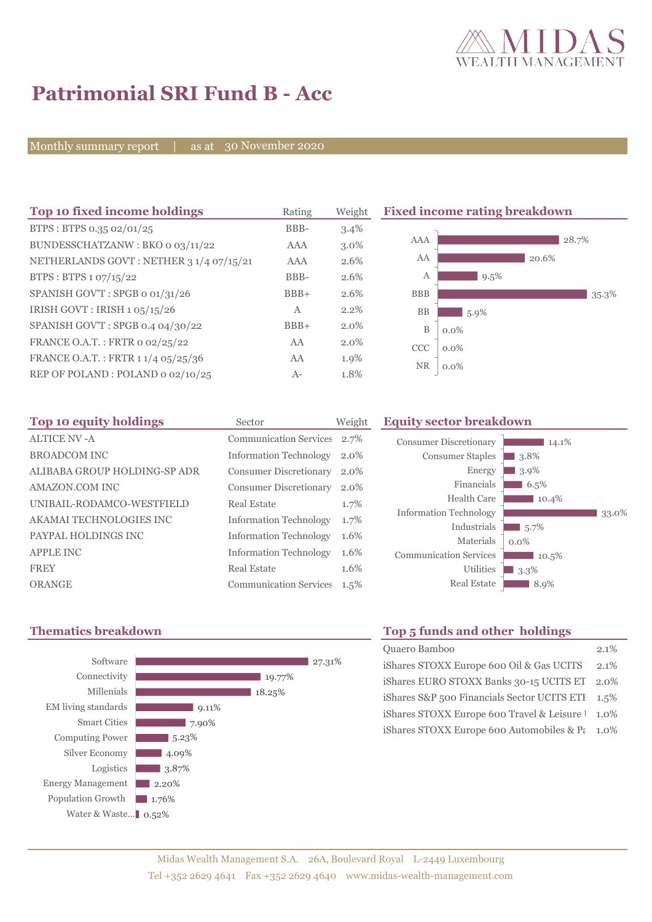

35.3%

# **Patrimonial SRI Fund B - Acc**

Monthly summary report | as at 30 November 2020

| Top 10 fixed income holdings            | Rating     | Weight  |            | <b>Fixed income rating breakdown</b> |
|-----------------------------------------|------------|---------|------------|--------------------------------------|
| BTPS: BTPS 0.35 02/01/25                | BBB-       | 3.4%    |            |                                      |
| BUNDESSCHATZANW: BKO o 03/11/22         | AAA        | 3.0%    | AAA        | 28.7%                                |
| NETHERLANDS GOVT: NETHER 3 1/4 07/15/21 | <b>AAA</b> | 2.6%    | AA         | 20.6%                                |
| BTPS: BTPS 1 07/15/22                   | BBB-       | 2.6%    | А          | $9.5\%$                              |
| SPANISH GOV'T: SPGB o 01/31/26          | $BBB+$     | 2.6%    | <b>BBB</b> |                                      |
| IRISH GOVT: IRISH 105/15/26             | A          | 2.2%    | <b>BB</b>  | $5.9\%$                              |
| SPANISH GOV'T: SPGB 0.4 04/30/22        | $BBB+$     | $2.0\%$ | B          | $0.0\%$                              |
| FRANCE O.A.T.: FRTR 0 02/25/22          | AA         | 2.0%    | <b>CCC</b> | $0.0\%$                              |
| FRANCE O.A.T.: FRTR 1 1/4 05/25/36      | AA         | 1.9%    |            |                                      |
| REP OF POLAND: POLAND 0 02/10/25        | $A-$       | 1.8%    | <b>NR</b>  | $0.0\%$                              |

| Top 10 equity holdings       | Sector                        | Weight  |
|------------------------------|-------------------------------|---------|
| ALTICE NV-A                  | <b>Communication Services</b> | 2.7%    |
| <b>BROADCOM INC</b>          | <b>Information Technology</b> | $2.0\%$ |
| ALIBABA GROUP HOLDING-SP ADR | <b>Consumer Discretionary</b> | 2.0%    |
| AMAZON.COM INC               | <b>Consumer Discretionary</b> | $2.0\%$ |
| UNIBAIL-RODAMCO-WESTFIELD    | Real Estate                   | 1.7%    |
| AKAMAI TECHNOLOGIES INC      | <b>Information Technology</b> | 1.7%    |
| PAYPAL HOLDINGS INC          | <b>Information Technology</b> | 1.6%    |
| <b>APPLE INC</b>             | <b>Information Technology</b> | 1.6%    |
| <b>FREY</b>                  | Real Estate                   | 1.6%    |
| ORANGE                       | <b>Communication Services</b> | $1.5\%$ |
|                              |                               |         |

#### **Equity sector breakdown**





# **Thematics breakdown Top 5 funds and other holdings**

| Quaero Bamboo                                    | 2.1% |
|--------------------------------------------------|------|
| iShares STOXX Europe 600 Oil & Gas UCITS 2.1%    |      |
| iShares EURO STOXX Banks 30-15 UCITS ET 2.0%     |      |
| iShares S&P 500 Financials Sector UCITS ETI      | 1.5% |
| iShares STOXX Europe 600 Travel & Leisure 1 1.0% |      |
| iShares STOXX Europe 600 Automobiles & Pt 1.0%   |      |